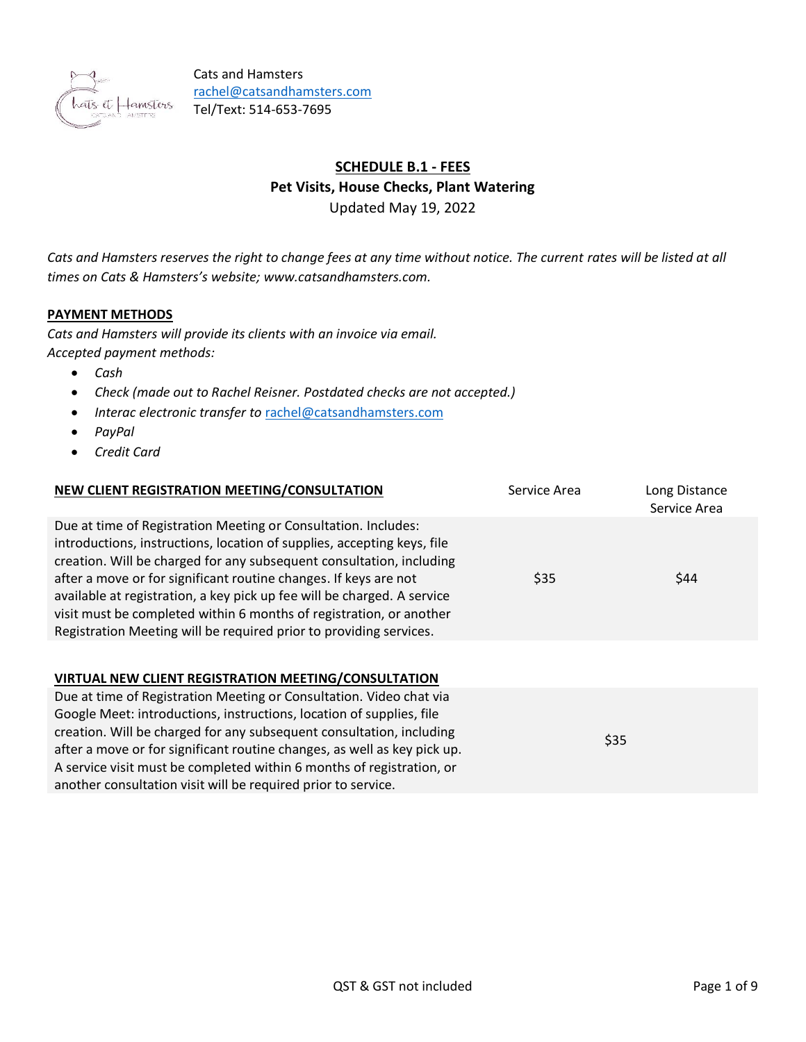

# **SCHEDULE B.1 - FEES Pet Visits, House Checks, Plant Watering**

Updated May 19, 2022

*Cats and Hamsters reserves the right to change fees at any time without notice. The current rates will be listed at all times on Cats & Hamsters's website; www.catsandhamsters.com.*

# **PAYMENT METHODS**

*Cats and Hamsters will provide its clients with an invoice via email. Accepted payment methods:*

- *Cash*
- *Check (made out to Rachel Reisner. Postdated checks are not accepted.)*
- *Interac electronic transfer to* [rachel@catsandhamsters.com](mailto:rachel@catsandhamsters.com)
- *PayPal*
- *Credit Card*

| NEW CLIENT REGISTRATION MEETING/CONSULTATION                                                                                                                                                                                                                                                                                                                                                                                                                                                                  | Service Area | Long Distance<br>Service Area |
|---------------------------------------------------------------------------------------------------------------------------------------------------------------------------------------------------------------------------------------------------------------------------------------------------------------------------------------------------------------------------------------------------------------------------------------------------------------------------------------------------------------|--------------|-------------------------------|
| Due at time of Registration Meeting or Consultation. Includes:<br>introductions, instructions, location of supplies, accepting keys, file<br>creation. Will be charged for any subsequent consultation, including<br>after a move or for significant routine changes. If keys are not<br>available at registration, a key pick up fee will be charged. A service<br>visit must be completed within 6 months of registration, or another<br>Registration Meeting will be required prior to providing services. | \$35         | \$44                          |
| <b>VIRTUAL NEW CLIENT REGISTRATION MEETING/CONSULTATION</b>                                                                                                                                                                                                                                                                                                                                                                                                                                                   |              |                               |
| Due at time of Registration Meeting or Consultation. Video chat via<br>Google Meet: introductions, instructions, location of supplies, file<br>creation. Will be charged for any subsequent consultation, including<br>after a move or for significant routine changes, as well as key pick up.<br>A service visit must be completed within 6 months of registration, or<br>another consultation visit will be required prior to service.                                                                     |              | \$35                          |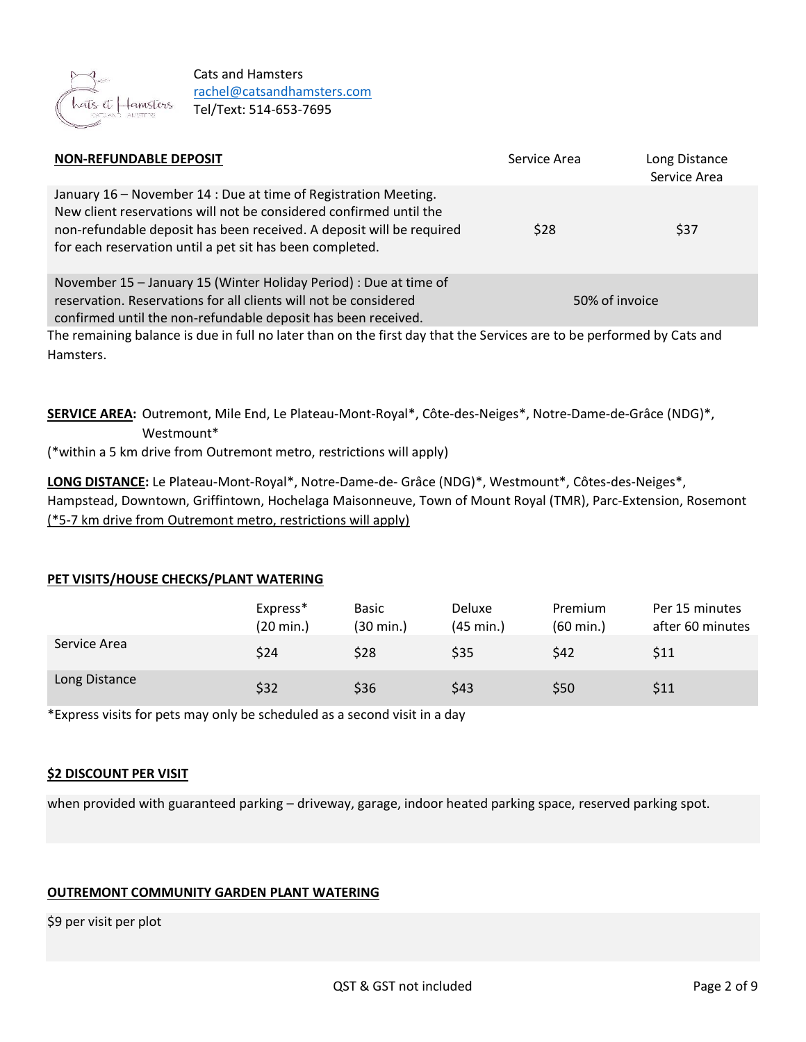

| Service Area | Long Distance<br>Service Area                                                                                                               |
|--------------|---------------------------------------------------------------------------------------------------------------------------------------------|
| \$28         | \$37                                                                                                                                        |
|              | 50% of invoice                                                                                                                              |
|              | $\pm$ . The contract of the contract of the collection of the free department of $\epsilon$ , the contract of the contract of the following |

The remaining balance is due in full no later than on the first day that the Services are to be performed by Cats and Hamsters.

**SERVICE AREA:** Outremont, Mile End, Le Plateau-Mont-Royal\*, Côte-des-Neiges\*, Notre-Dame-de-Grâce (NDG)\*, Westmount\*

(\*within a 5 km drive from Outremont metro, restrictions will apply)

**LONG DISTANCE:** Le Plateau-Mont-Royal\*, Notre-Dame-de- Grâce (NDG)\*, Westmount\*, Côtes-des-Neiges\*, Hampstead, Downtown, Griffintown, Hochelaga Maisonneuve, Town of Mount Royal (TMR), Parc-Extension, Rosemont (\*5-7 km drive from Outremont metro, restrictions will apply)

## **PET VISITS/HOUSE CHECKS/PLANT WATERING**

|               | Express*<br>$(20 \text{ min.})$ | Basic<br>(30 min.) | Deluxe<br>$(45 \text{ min.})$ | Premium<br>$(60 \text{ min.})$ | Per 15 minutes<br>after 60 minutes |
|---------------|---------------------------------|--------------------|-------------------------------|--------------------------------|------------------------------------|
| Service Area  | \$24                            | \$28               | \$35                          | \$42                           | \$11                               |
| Long Distance | \$32                            | \$36               | \$43                          | \$50                           | \$11                               |

\*Express visits for pets may only be scheduled as a second visit in a day

## **\$2 DISCOUNT PER VISIT**

when provided with guaranteed parking – driveway, garage, indoor heated parking space, reserved parking spot.

## **OUTREMONT COMMUNITY GARDEN PLANT WATERING**

\$9 per visit per plot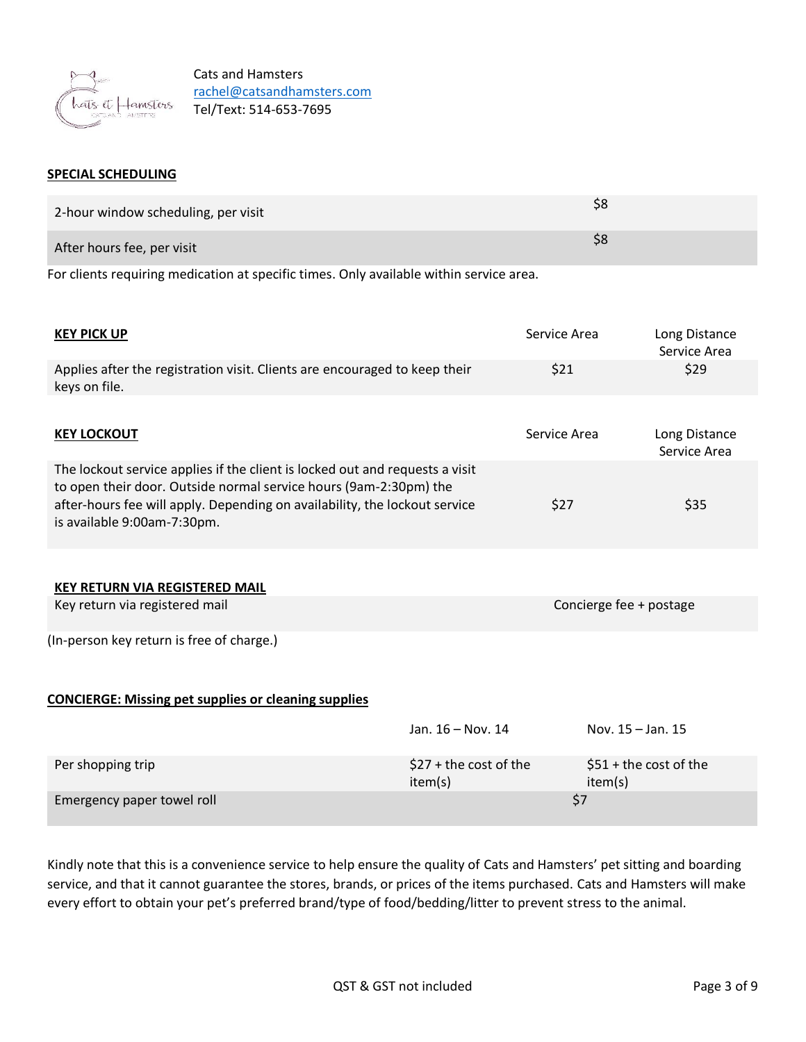

#### **SPECIAL SCHEDULING**

| 2-hour window scheduling, per visit |  |
|-------------------------------------|--|
| After hours fee, per visit          |  |

For clients requiring medication at specific times. Only available within service area.

| <b>KEY PICK UP</b>                                                                                                                                                                                                                                             |                                    | Service Area | Long Distance<br>Service Area      |
|----------------------------------------------------------------------------------------------------------------------------------------------------------------------------------------------------------------------------------------------------------------|------------------------------------|--------------|------------------------------------|
| Applies after the registration visit. Clients are encouraged to keep their<br>keys on file.                                                                                                                                                                    |                                    | \$21         | \$29                               |
|                                                                                                                                                                                                                                                                |                                    |              |                                    |
| <b>KEY LOCKOUT</b>                                                                                                                                                                                                                                             |                                    | Service Area | Long Distance<br>Service Area      |
| The lockout service applies if the client is locked out and requests a visit<br>to open their door. Outside normal service hours (9am-2:30pm) the<br>after-hours fee will apply. Depending on availability, the lockout service<br>is available 9:00am-7:30pm. |                                    | \$27         | \$35                               |
| <b>KEY RETURN VIA REGISTERED MAIL</b>                                                                                                                                                                                                                          |                                    |              |                                    |
| Key return via registered mail                                                                                                                                                                                                                                 |                                    |              | Concierge fee + postage            |
| (In-person key return is free of charge.)                                                                                                                                                                                                                      |                                    |              |                                    |
| <b>CONCIERGE: Missing pet supplies or cleaning supplies</b>                                                                                                                                                                                                    |                                    |              |                                    |
|                                                                                                                                                                                                                                                                | Jan. 16 - Nov. 14                  |              | Nov. $15 -$ Jan. $15$              |
| Per shopping trip                                                                                                                                                                                                                                              | $$27 + the cost of the$<br>item(s) |              | $$51 +$ the cost of the<br>item(s) |
| Emergency paper towel roll                                                                                                                                                                                                                                     |                                    | \$7          |                                    |

Kindly note that this is a convenience service to help ensure the quality of Cats and Hamsters' pet sitting and boarding service, and that it cannot guarantee the stores, brands, or prices of the items purchased. Cats and Hamsters will make every effort to obtain your pet's preferred brand/type of food/bedding/litter to prevent stress to the animal.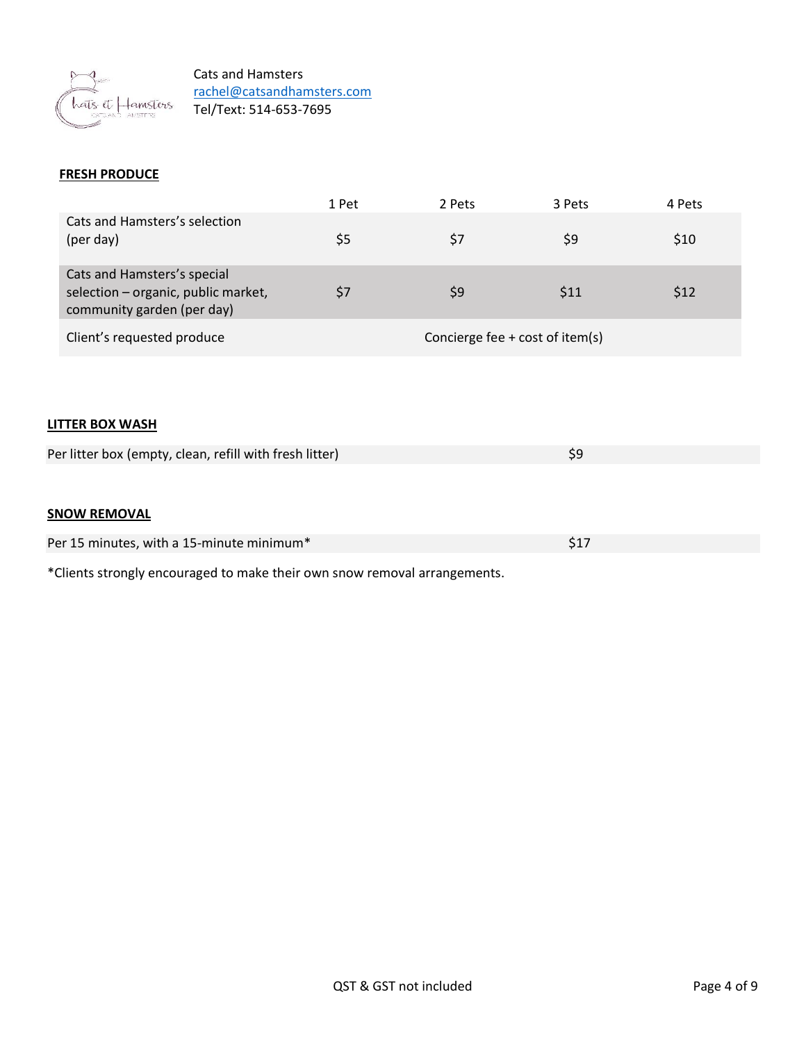

## **FRESH PRODUCE**

|                                                                                                  | 1 Pet | 2 Pets                          | 3 Pets | 4 Pets |
|--------------------------------------------------------------------------------------------------|-------|---------------------------------|--------|--------|
| Cats and Hamsters's selection<br>(per day)                                                       | \$5   | \$7                             | \$9    | \$10   |
| Cats and Hamsters's special<br>selection - organic, public market,<br>community garden (per day) |       | \$9                             | \$11   | \$12   |
| Client's requested produce                                                                       |       | Concierge fee + cost of item(s) |        |        |

#### **LITTER BOX WASH**

| Per litter box (empty, clean, refill with fresh litter) |  |
|---------------------------------------------------------|--|
|                                                         |  |

## **SNOW REMOVAL**

| Per 15 minutes, with a 15-minute minimum* |  |
|-------------------------------------------|--|
|                                           |  |

\*Clients strongly encouraged to make their own snow removal arrangements.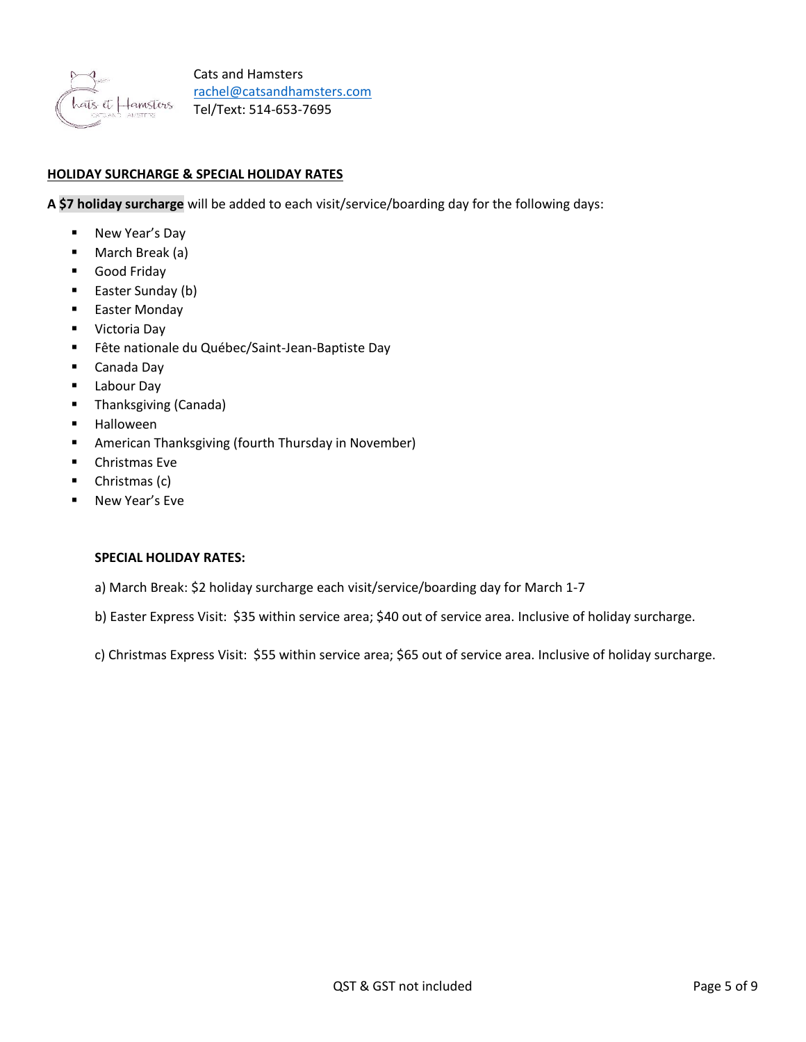

## **HOLIDAY SURCHARGE & SPECIAL HOLIDAY RATES**

**A \$7 holiday surcharge** will be added to each visit/service/boarding day for the following days:

- New Year's Day
- March Break (a)
- Good Friday
- Easter Sunday (b)
- Easter Monday
- Victoria Day
- Fête nationale du Québec/Saint-Jean-Baptiste Day
- Canada Day
- Labour Day
- Thanksgiving (Canada)
- **Halloween**
- American Thanksgiving (fourth Thursday in November)
- Christmas Eve
- Christmas (c)
- New Year's Eve

#### **SPECIAL HOLIDAY RATES:**

- a) March Break: \$2 holiday surcharge each visit/service/boarding day for March 1-7
- b) Easter Express Visit: \$35 within service area; \$40 out of service area. Inclusive of holiday surcharge.

c) Christmas Express Visit: \$55 within service area; \$65 out of service area. Inclusive of holiday surcharge.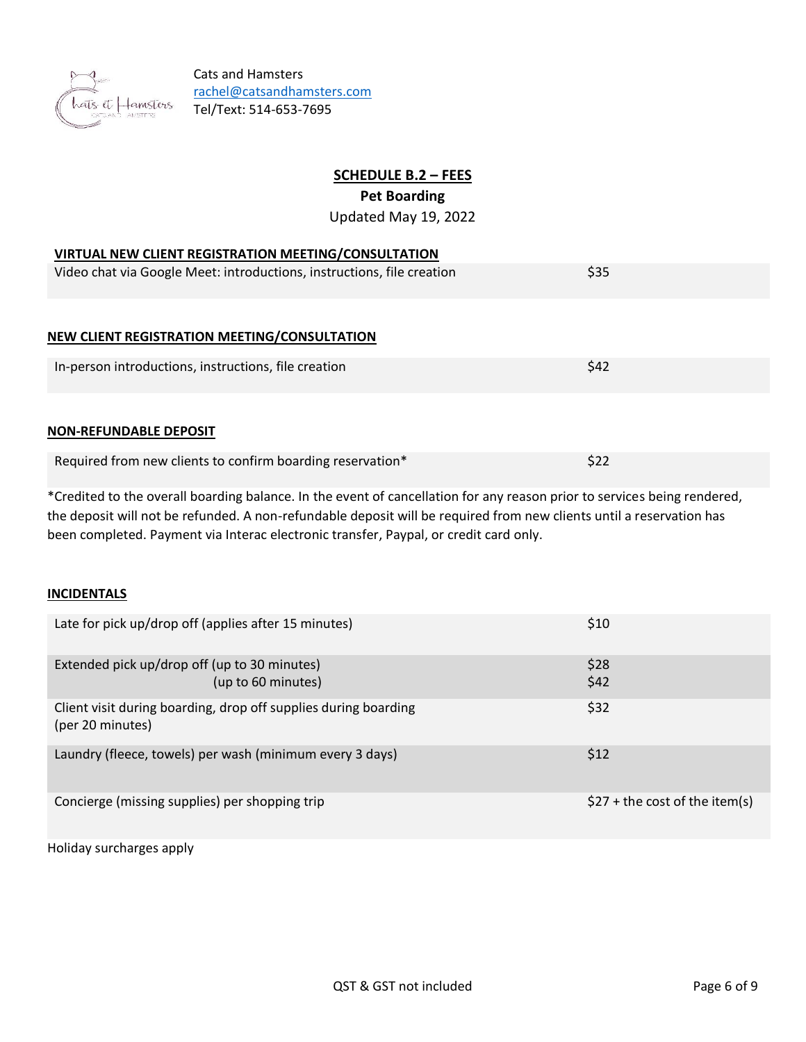

# **SCHEDULE B.2 – FEES**

# **Pet Boarding**

Updated May 19, 2022

## **VIRTUAL NEW CLIENT REGISTRATION MEETING/CONSULTATION**

| Video chat via Google Meet: introductions, instructions, file creation | \$35 |
|------------------------------------------------------------------------|------|
|------------------------------------------------------------------------|------|

## **NEW CLIENT REGISTRATION MEETING/CONSULTATION**

| In-person introductions, instructions, file creation |  |
|------------------------------------------------------|--|
|                                                      |  |

#### **NON-REFUNDABLE DEPOSIT**

| Required from new clients to confirm boarding reservation* | \$22 |
|------------------------------------------------------------|------|
|------------------------------------------------------------|------|

\*Credited to the overall boarding balance. In the event of cancellation for any reason prior to services being rendered, the deposit will not be refunded. A non-refundable deposit will be required from new clients until a reservation has been completed. Payment via Interac electronic transfer, Paypal, or credit card only.

## **INCIDENTALS**

| Late for pick up/drop off (applies after 15 minutes)                                | \$10                            |
|-------------------------------------------------------------------------------------|---------------------------------|
| Extended pick up/drop off (up to 30 minutes)<br>(up to 60 minutes)                  | \$28<br>\$42                    |
| Client visit during boarding, drop off supplies during boarding<br>(per 20 minutes) | \$32                            |
| Laundry (fleece, towels) per wash (minimum every 3 days)                            | \$12                            |
| Concierge (missing supplies) per shopping trip                                      | $$27 + the cost of the item(s)$ |

Holiday surcharges apply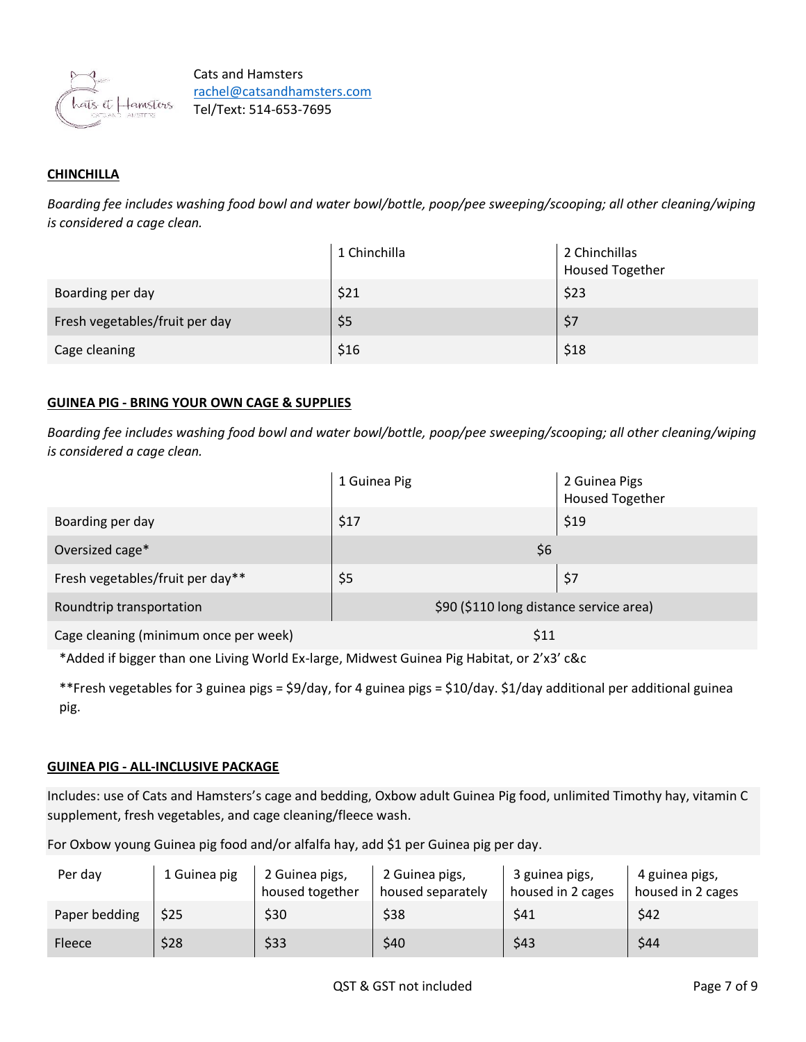

# **CHINCHILLA**

*Boarding fee includes washing food bowl and water bowl/bottle, poop/pee sweeping/scooping; all other cleaning/wiping is considered a cage clean.*

|                                | 1 Chinchilla | 2 Chinchillas<br><b>Housed Together</b> |
|--------------------------------|--------------|-----------------------------------------|
| Boarding per day               | \$21         | \$23                                    |
| Fresh vegetables/fruit per day | \$5          | \$7                                     |
| Cage cleaning                  | \$16         | \$18                                    |

## **GUINEA PIG - BRING YOUR OWN CAGE & SUPPLIES**

*Boarding fee includes washing food bowl and water bowl/bottle, poop/pee sweeping/scooping; all other cleaning/wiping is considered a cage clean.*

|                                       | 1 Guinea Pig                            | 2 Guinea Pigs<br><b>Housed Together</b> |
|---------------------------------------|-----------------------------------------|-----------------------------------------|
| Boarding per day                      | \$17                                    | \$19                                    |
| Oversized cage*                       | \$6                                     |                                         |
| Fresh vegetables/fruit per day**      | \$5                                     | \$7                                     |
| Roundtrip transportation              | \$90 (\$110 long distance service area) |                                         |
| Cage cleaning (minimum once per week) | \$11                                    |                                         |

\*Added if bigger than one Living World Ex-large, Midwest Guinea Pig Habitat, or 2'x3' c&c

\*\*Fresh vegetables for 3 guinea pigs = \$9/day, for 4 guinea pigs = \$10/day. \$1/day additional per additional guinea pig.

## **GUINEA PIG - ALL-INCLUSIVE PACKAGE**

Includes: use of Cats and Hamsters's cage and bedding, Oxbow adult Guinea Pig food, unlimited Timothy hay, vitamin C supplement, fresh vegetables, and cage cleaning/fleece wash.

For Oxbow young Guinea pig food and/or alfalfa hay, add \$1 per Guinea pig per day.

| Per day       | 1 Guinea pig | 2 Guinea pigs,<br>housed together | 2 Guinea pigs,<br>housed separately | 3 guinea pigs,<br>housed in 2 cages | 4 guinea pigs,<br>housed in 2 cages |
|---------------|--------------|-----------------------------------|-------------------------------------|-------------------------------------|-------------------------------------|
| Paper bedding | \$25         | \$30                              | \$38                                | \$41                                | \$42                                |
| Fleece        | \$28         | \$33                              | \$40                                | \$43                                | \$44                                |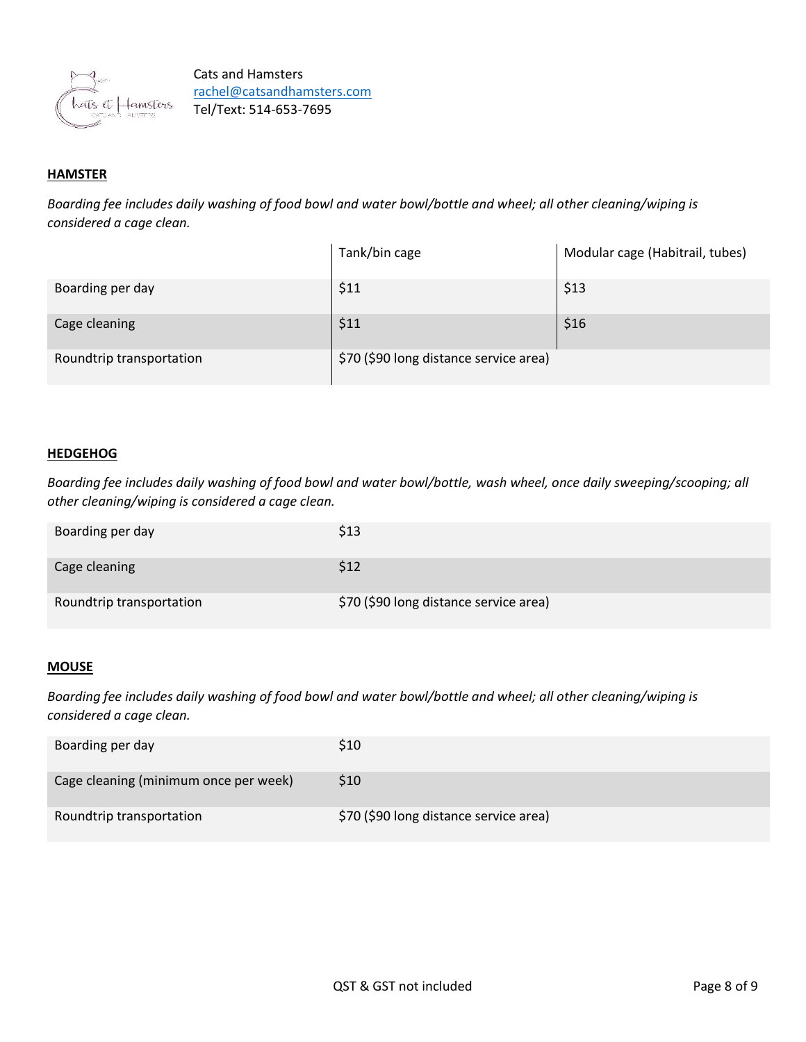

# **HAMSTER**

*Boarding fee includes daily washing of food bowl and water bowl/bottle and wheel; all other cleaning/wiping is considered a cage clean.*

|                          | Tank/bin cage                          | Modular cage (Habitrail, tubes) |
|--------------------------|----------------------------------------|---------------------------------|
| Boarding per day         | \$11                                   | \$13                            |
| Cage cleaning            | \$11                                   | \$16                            |
| Roundtrip transportation | \$70 (\$90 long distance service area) |                                 |

#### **HEDGEHOG**

*Boarding fee includes daily washing of food bowl and water bowl/bottle, wash wheel, once daily sweeping/scooping; all other cleaning/wiping is considered a cage clean.*

| Boarding per day         | \$13                                   |
|--------------------------|----------------------------------------|
| Cage cleaning            | S12                                    |
| Roundtrip transportation | \$70 (\$90 long distance service area) |

#### **MOUSE**

*Boarding fee includes daily washing of food bowl and water bowl/bottle and wheel; all other cleaning/wiping is considered a cage clean.*

| Boarding per day                      | S10                                    |
|---------------------------------------|----------------------------------------|
| Cage cleaning (minimum once per week) | S <sub>10</sub>                        |
| Roundtrip transportation              | \$70 (\$90 long distance service area) |